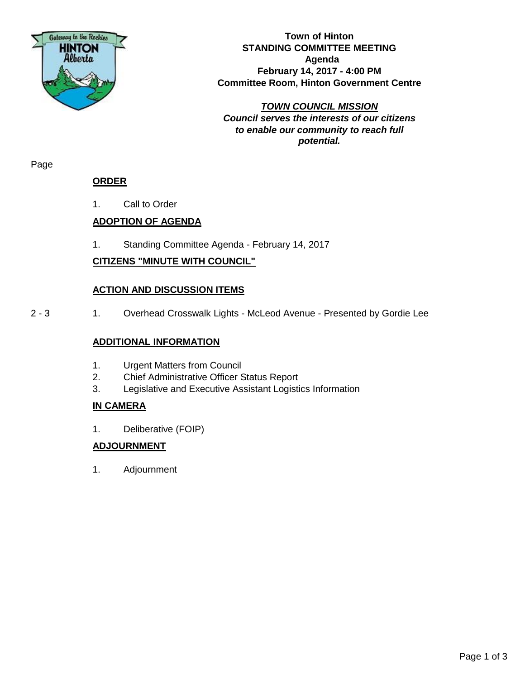

**Town of Hinton STANDING COMMITTEE MEETING Agenda February 14, 2017 - 4:00 PM Committee Room, Hinton Government Centre**

*TOWN COUNCIL MISSION Council serves the interests of our citizens to enable our community to reach full potential.*

Page

## **ORDER**

1. Call to Order

## **ADOPTION OF AGENDA**

1. Standing Committee Agenda - February 14, 2017

## **CITIZENS "MINUTE WITH COUNCIL"**

### **ACTION AND DISCUSSION ITEMS**

2 - 3 1. Overhead Crosswalk Lights - McLeod Avenue - Presented by Gordie Lee

### **ADDITIONAL INFORMATION**

- 1. Urgent Matters from Council
- 2. Chief Administrative Officer Status Report
- 3. Legislative and Executive Assistant Logistics Information

## **IN CAMERA**

1. Deliberative (FOIP)

## **ADJOURNMENT**

1. Adjournment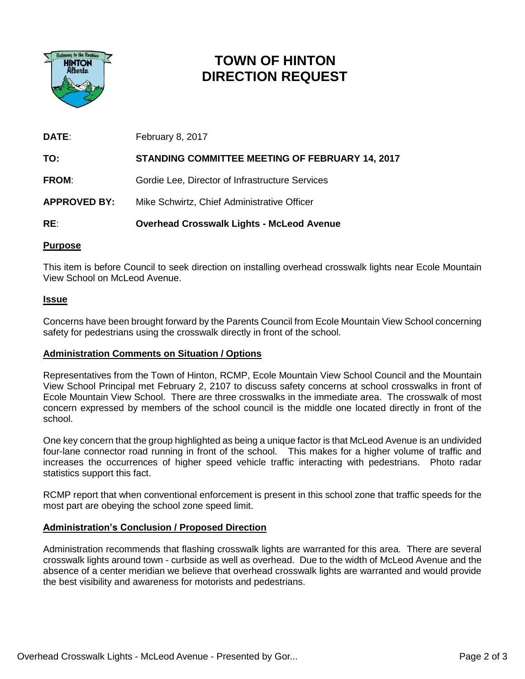

# **TOWN OF HINTON DIRECTION REQUEST**

| DATE:               | February 8, 2017                                 |
|---------------------|--------------------------------------------------|
| TO:                 | STANDING COMMITTEE MEETING OF FEBRUARY 14, 2017  |
| <b>FROM:</b>        | Gordie Lee, Director of Infrastructure Services  |
| <b>APPROVED BY:</b> | Mike Schwirtz, Chief Administrative Officer      |
| RE:                 | <b>Overhead Crosswalk Lights - McLeod Avenue</b> |

### **Purpose**

This item is before Council to seek direction on installing overhead crosswalk lights near Ecole Mountain View School on McLeod Avenue.

### **Issue**

Concerns have been brought forward by the Parents Council from Ecole Mountain View School concerning safety for pedestrians using the crosswalk directly in front of the school.

### **Administration Comments on Situation / Options**

Representatives from the Town of Hinton, RCMP, Ecole Mountain View School Council and the Mountain View School Principal met February 2, 2107 to discuss safety concerns at school crosswalks in front of Ecole Mountain View School. There are three crosswalks in the immediate area. The crosswalk of most concern expressed by members of the school council is the middle one located directly in front of the school.

One key concern that the group highlighted as being a unique factor is that McLeod Avenue is an undivided four-lane connector road running in front of the school. This makes for a higher volume of traffic and increases the occurrences of higher speed vehicle traffic interacting with pedestrians. Photo radar statistics support this fact.

RCMP report that when conventional enforcement is present in this school zone that traffic speeds for the most part are obeying the school zone speed limit.

### **Administration's Conclusion / Proposed Direction**

Administration recommends that flashing crosswalk lights are warranted for this area. There are several crosswalk lights around town - curbside as well as overhead. Due to the width of McLeod Avenue and the absence of a center meridian we believe that overhead crosswalk lights are warranted and would provide the best visibility and awareness for motorists and pedestrians.